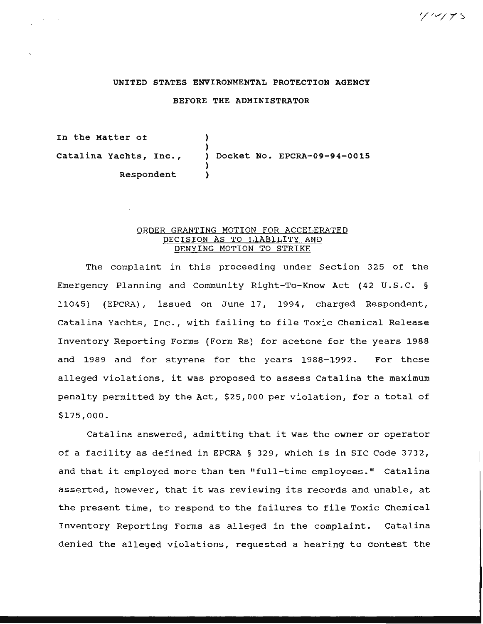# UNITED STATES ENVIRONMENTAL PROTECTION AGENCY

### BEFORE THE ADMINISTRATOR

In the Matter of Catalina Yachts, Inc., Respondent ) ) ) Docket No. EPCRA-09-94-0015 ) )

# ORDER GRANTING MOTION FOR ACCELERATED DECISION AS TO LIABILITY AND DENYING MOTION TO STRIKE

The complaint in this proceeding under Section 325 of the Emergency Planning and Community Right-To-Know Act (42 U.S.C. § 11045) (EPCRA), issued on June 17, 1994, charged Respondent, Catalina Yachts, Inc., with failing to file Toxic Chemical Release Inventory Reporting Forms (Form Rs) for acetone for the years 1988 and 1989 and for styrene for the years 1988-1992. For these alleged violations, it was proposed to assess Catalina the maximum penalty permitted by the Act, \$25,000 per violation, for a total of \$175,000.

Catalina answered, admitting that it was the owner or operator of a facility as defined in EPCRA § 329, which is in SIC Code 3732, and that it employed more than ten "full-time employees." Catalina asserted, however, that it was reviewing its records and unable, at the present time, to respond to the failures to file Toxic Chemical Inventory Reporting Forms as alleged in the complaint. Catalina denied the alleged violations, requested a hearing to contest the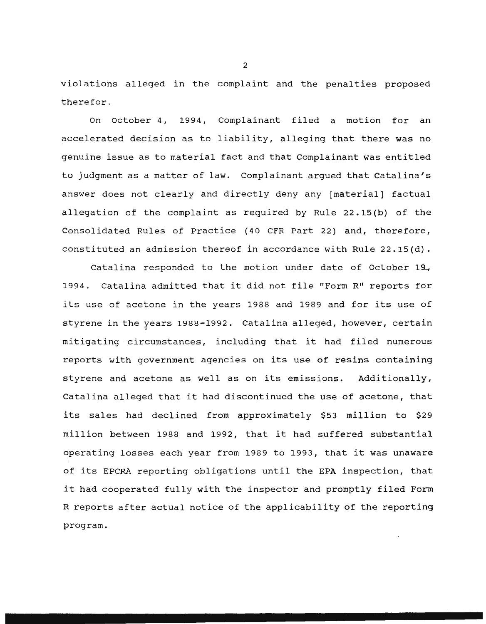violations alleged in the complaint and the penalties proposed therefor.

On October 4, 1994, Complainant filed a motion for an accelerated decision as to liability, alleging that there was no genuine issue as to material fact and that Complainant was entitled to judgment as a matter of law. Complainant argued that Catalina's answer does not clearly and directly deny any (material] factual allegation of the complaint as required by Rule 22.15(b) of the Consolidated Rules of Practice (40 CFR Part 22) and, therefore, constituted an admission thereof in accordance with Rule 22.15(d).

Catalina responded to the motion under date of October 19, 1994. Catalina admitted that it did not file "Form R" reports for its use of acetone in the years 1988 and 1989 and for its use of styrene in the years 1988-1992. Catalina alleged, however, certain mitigating circumstances, including that it had filed numerous reports with government agencies on its use of resins containing styrene and acetone as well as on its emissions. Additionally, Catalina alleged that it had discontinued the use of acetone, that its sales had declined from approximately \$53 million to \$29 million between 1988 and 1992, that it had suffered substantial operating losses each year from 1989 to 1993, that it was unaware of its EPCRA reporting obligations until the EPA inspection, that it had cooperated fully with the inspector and promptly filed Form R reports after actual notice of the applicability of the reporting program.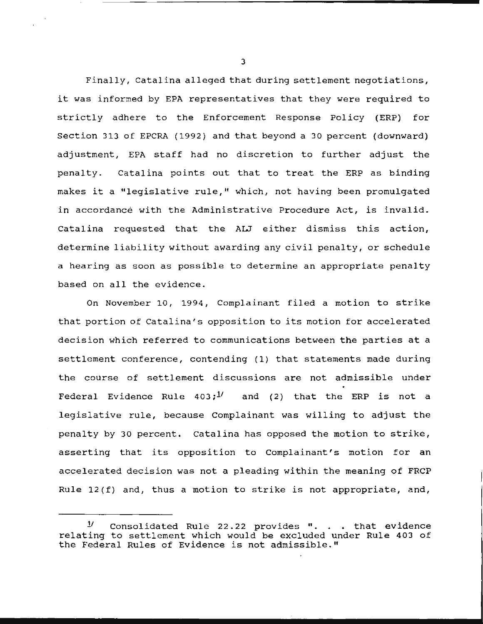Finally, Catalina alleged that during settlement negotiations, it was informed by EPA representatives that they were required to strictly adhere to the Enforcement Response Policy (ERP) for Section 313 of EPCRA (1992) and that beyond a 30 percent (downward) adjustment, EPA staff had no discretion to further adjust the penalty. Catalina points out that to treat the ERP as binding makes it a "legislative rule," which, not having been promulgated in accordance with the Administrative Procedure Act, is invalid. Catalina requested that the ALJ either dismiss this action, determine liability without awarding any civil penalty, or schedule a hearing as soon as possible to determine an appropriate penalty based on all the evidence.

On November 10, 1994, Complainant filed a motion to strike that portion of Catalina's opposition to its motion for accelerated decision which referred to communications between the parties at a settlement conference, contending (1) that statements made during the course of settlement discussions are not admissible under Federal Evidence Rule  $403;$ <sup>1</sup> and (2) that the ERP is not a legislative rule, because Complainant was willing to adjust the penalty by 30 percent. Catalina has opposed the motion to strike, asserting that its opposition to Complainant's motion for an accelerated decision was not a pleading within the meaning of FRCP Rule 12(f) and, thus a motion to strike is not appropriate, and,

 $1/1$  Consolidated Rule 22.22 provides ". . . that evidence relating to settlement which would be excluded under Rule 403 of the Federal Rules of Evidence is not admissible."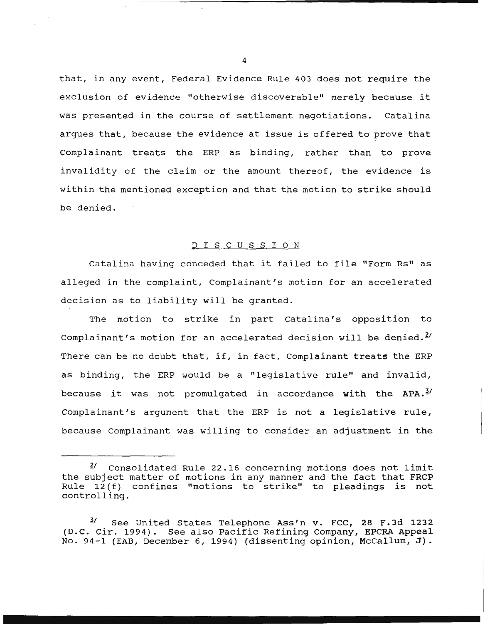that, in any event, Federal Evidence Rule 403 does not require the exclusion of evidence "otherwise discoverable" merely because it was presented in the course of settlement negotiations. Catalina argues that, because the evidence at issue is offered to prove that Complainant treats the ERP as binding, rather than to prove invalidity of the claim or the amount thereof, the evidence is within the mentioned exception and that the motion to strike should be denied.

# D I S C U S S I 0 N

Catalina having conceded that it failed to file "Form Rs" as alleged in the complaint, Complainant's motion for an accelerated decision as to liability will be granted.

The motion to strike in part Catalina's opposition to Complainant's motion for an accelerated decision will be denied. $^{2}$ There can be no doubt that, if, in fact, Complainant treats the ERP as binding, the ERP would be a "legislative rule" and invalid, because it was not promulgated in accordance with the  $APA.$ <sup>2/</sup> Complainant's argument that the ERP is not a legislative rule, because Complainant was willing to consider an adjustment in the

...............................................

 $2^{\prime}$  Consolidated Rule 22.16 concerning motions does not limit the subject matter of motions in any manner and the fact that FRCP Rule 12 (f) confines "motions to strike" to pleadings is not controlling.

 $3/$  See United States Telephone Ass'n v. FCC, 28 F.3d 1232 (D.C. Cir. 1994). See also Pacific Refining Company, EPCRA Appeal No. 94-1 (EAB, December 6, 1994) (dissenting opinion, McCallum, J) .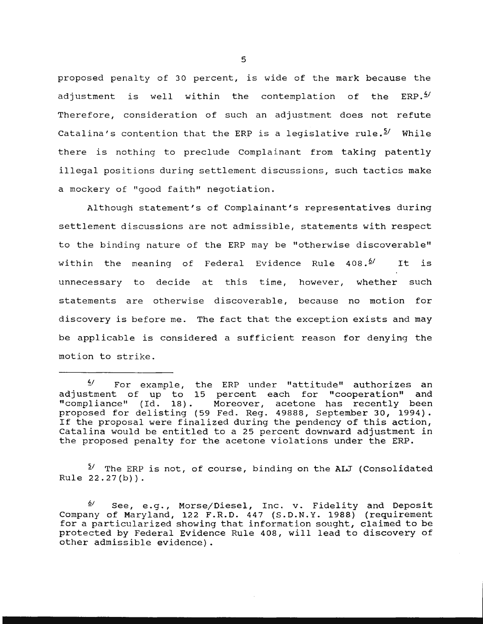proposed penalty of 30 percent, is wide of the mark because the adjustment is well within the contemplation of the ERP. $^{4/}$ Therefore, consideration of such an adjustment does not refute Catalina's contention that the ERP is a legislative rule.<sup>5</sup>/ While there is nothing to preclude Complainant from taking patently illegal positions during settlement discussions, such tactics make a mockery of "good faith" negotiation.

Although statement's of Complainant's representatives during settlement discussions are not admissible, statements with respect to the binding nature of the ERP may be "otherwise discoverable" within the meaning of Federal Evidence Rule 408.<sup>6/</sup> It is unnecessary to decide at this time, however, whether such statements are otherwise discoverable, because no motion for discovery is before me. The fact that the exception exists and may be applicable is considered a sufficient reason for denying the motion to strike.

 $2^{\frac{5}{2}}$  The ERP is not, of course, binding on the ALJ (Consolidated Rule 22.27(b)).

*§.1* See, e.g., Morse/Diesel, Inc. v. Fidelity and Deposit Company of Maryland, 122 F.R.D. 447 (S.D.N.Y. 1988) (requirement for a particularized showing that information sought, claimed to be protected by Federal Evidence Rule 408, will lead to discovery of other admissible evidence) .

 $\frac{4}{7}$  For example, the ERP under "attitude" authorizes an adjustment of up to 15 percent each for "cooperation" and "compliance" (Id. 18). Moreover, acetone has recently been proposed for delisting (59 Fed. Reg. 49888, September 30, 1994). If the proposal were finalized during the pendency of this action, Catalina would be entitled to a 25 percent downward adjustment in the proposed penalty for the acetone violations under the ERP.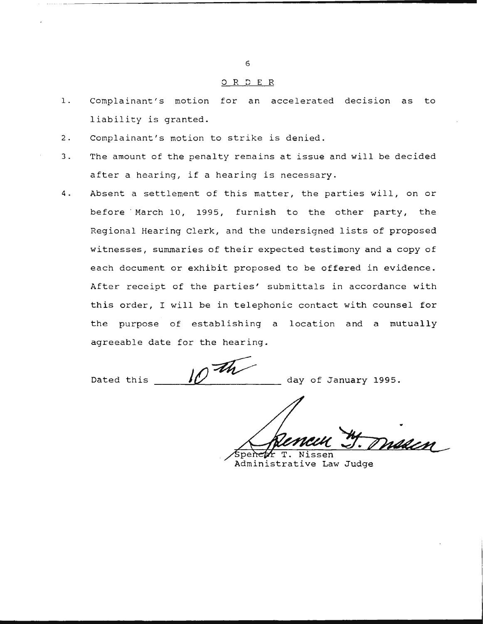#### ORDER

- l. Complainant's motion for an accelerated decision as to liability is granted.
- 2. Complainant's motion to strike is denied.
- 3. The amount of the penalty remains at issue and will be decided after a hearing, if a hearing is necessary.
- 4. Absent a settlement of this matter, the parties will, on or before · March 10, 1995, furnish to the other party, the Regional Hearing Clerk, and the undersigned lists of proposed witnesses, summaries of their expected testimony and a copy of each document or exhibit proposed to be offered in evidence. After receipt of the parties' submittals in accordance with this order, I will be in telephonic contact with counsel for the purpose of establishing a location and a mutually agreeable date for the hearing.

Dated this  $\theta$  the day of January 1995.

maacn

peneer T. Nissen Administrative Law Judge